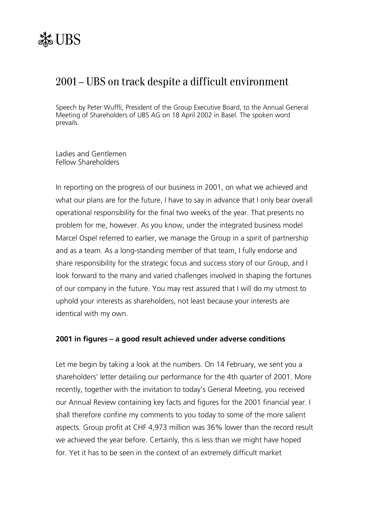# 2001 – UBS on track despite a difficult environment

Speech by Peter Wuffli, President of the Group Executive Board, to the Annual General Meeting of Shareholders of UBS AG on 18 April 2002 in Basel. The spoken word prevails.

Ladies and Gentlemen Fellow Shareholders

In reporting on the progress of our business in 2001, on what we achieved and what our plans are for the future, I have to say in advance that I only bear overall operational responsibility for the final two weeks of the year. That presents no problem for me, however. As you know, under the integrated business model Marcel Ospel referred to earlier, we manage the Group in a spirit of partnership and as a team. As a long-standing member of that team, I fully endorse and share responsibility for the strategic focus and success story of our Group, and I look forward to the many and varied challenges involved in shaping the fortunes of our company in the future. You may rest assured that I will do my utmost to uphold your interests as shareholders, not least because your interests are identical with my own.

## **2001 in figures – a good result achieved under adverse conditions**

Let me begin by taking a look at the numbers. On 14 February, we sent you a shareholders' letter detailing our performance for the 4th quarter of 2001. More recently, together with the invitation to today's General Meeting, you received our Annual Review containing key facts and figures for the 2001 financial year. I shall therefore confine my comments to you today to some of the more salient aspects. Group profit at CHF 4,973 million was 36% lower than the record result we achieved the year before. Certainly, this is less than we might have hoped for. Yet it has to be seen in the context of an extremely difficult market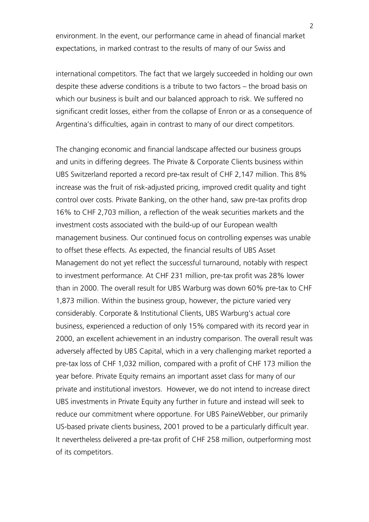environment. In the event, our performance came in ahead of financial market expectations, in marked contrast to the results of many of our Swiss and

international competitors. The fact that we largely succeeded in holding our own despite these adverse conditions is a tribute to two factors – the broad basis on which our business is built and our balanced approach to risk. We suffered no significant credit losses, either from the collapse of Enron or as a consequence of Argentina's difficulties, again in contrast to many of our direct competitors.

The changing economic and financial landscape affected our business groups and units in differing degrees. The Private & Corporate Clients business within UBS Switzerland reported a record pre-tax result of CHF 2,147 million. This 8% increase was the fruit of risk-adjusted pricing, improved credit quality and tight control over costs. Private Banking, on the other hand, saw pre-tax profits drop 16% to CHF 2,703 million, a reflection of the weak securities markets and the investment costs associated with the build-up of our European wealth management business. Our continued focus on controlling expenses was unable to offset these effects. As expected, the financial results of UBS Asset Management do not yet reflect the successful turnaround, notably with respect to investment performance. At CHF 231 million, pre-tax profit was 28% lower than in 2000. The overall result for UBS Warburg was down 60% pre-tax to CHF 1,873 million. Within the business group, however, the picture varied very considerably. Corporate & Institutional Clients, UBS Warburgís actual core business, experienced a reduction of only 15% compared with its record year in 2000, an excellent achievement in an industry comparison. The overall result was adversely affected by UBS Capital, which in a very challenging market reported a pre-tax loss of CHF 1,032 million, compared with a profit of CHF 173 million the year before. Private Equity remains an important asset class for many of our private and institutional investors. However, we do not intend to increase direct UBS investments in Private Equity any further in future and instead will seek to reduce our commitment where opportune. For UBS PaineWebber, our primarily US-based private clients business, 2001 proved to be a particularly difficult year. It nevertheless delivered a pre-tax profit of CHF 258 million, outperforming most of its competitors.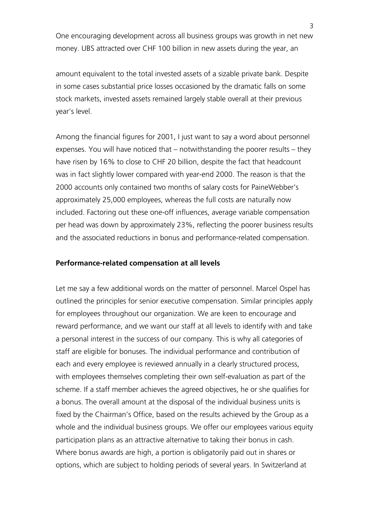One encouraging development across all business groups was growth in net new money. UBS attracted over CHF 100 billion in new assets during the year, an

amount equivalent to the total invested assets of a sizable private bank. Despite in some cases substantial price losses occasioned by the dramatic falls on some stock markets, invested assets remained largely stable overall at their previous year's level.

Among the financial figures for 2001, I just want to say a word about personnel expenses. You will have noticed that  $-$  notwithstanding the poorer results  $-$  they have risen by 16% to close to CHF 20 billion, despite the fact that headcount was in fact slightly lower compared with year-end 2000. The reason is that the 2000 accounts only contained two months of salary costs for PaineWebberís approximately 25,000 employees, whereas the full costs are naturally now included. Factoring out these one-off influences, average variable compensation per head was down by approximately 23%, reflecting the poorer business results and the associated reductions in bonus and performance-related compensation.

#### **Performance-related compensation at all levels**

Let me say a few additional words on the matter of personnel. Marcel Ospel has outlined the principles for senior executive compensation. Similar principles apply for employees throughout our organization. We are keen to encourage and reward performance, and we want our staff at all levels to identify with and take a personal interest in the success of our company. This is why all categories of staff are eligible for bonuses. The individual performance and contribution of each and every employee is reviewed annually in a clearly structured process, with employees themselves completing their own self-evaluation as part of the scheme. If a staff member achieves the agreed objectives, he or she qualifies for a bonus. The overall amount at the disposal of the individual business units is fixed by the Chairman's Office, based on the results achieved by the Group as a whole and the individual business groups. We offer our employees various equity participation plans as an attractive alternative to taking their bonus in cash. Where bonus awards are high, a portion is obligatorily paid out in shares or options, which are subject to holding periods of several years. In Switzerland at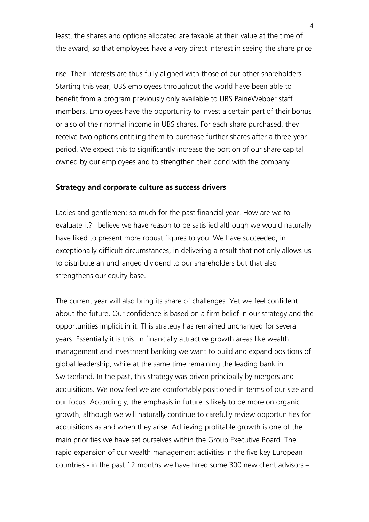least, the shares and options allocated are taxable at their value at the time of the award, so that employees have a very direct interest in seeing the share price

rise. Their interests are thus fully aligned with those of our other shareholders. Starting this year, UBS employees throughout the world have been able to benefit from a program previously only available to UBS PaineWebber staff members. Employees have the opportunity to invest a certain part of their bonus or also of their normal income in UBS shares. For each share purchased, they receive two options entitling them to purchase further shares after a three-year period. We expect this to significantly increase the portion of our share capital owned by our employees and to strengthen their bond with the company.

#### **Strategy and corporate culture as success drivers**

Ladies and gentlemen: so much for the past financial year. How are we to evaluate it? I believe we have reason to be satisfied although we would naturally have liked to present more robust figures to you. We have succeeded, in exceptionally difficult circumstances, in delivering a result that not only allows us to distribute an unchanged dividend to our shareholders but that also strengthens our equity base.

The current year will also bring its share of challenges. Yet we feel confident about the future. Our confidence is based on a firm belief in our strategy and the opportunities implicit in it. This strategy has remained unchanged for several years. Essentially it is this: in financially attractive growth areas like wealth management and investment banking we want to build and expand positions of global leadership, while at the same time remaining the leading bank in Switzerland. In the past, this strategy was driven principally by mergers and acquisitions. We now feel we are comfortably positioned in terms of our size and our focus. Accordingly, the emphasis in future is likely to be more on organic growth, although we will naturally continue to carefully review opportunities for acquisitions as and when they arise. Achieving profitable growth is one of the main priorities we have set ourselves within the Group Executive Board. The rapid expansion of our wealth management activities in the five key European countries - in the past 12 months we have hired some 300 new client advisors  $-$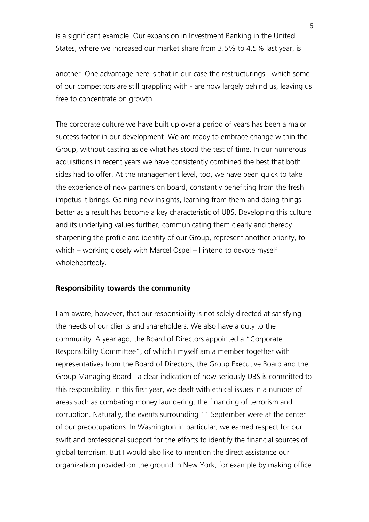is a significant example. Our expansion in Investment Banking in the United States, where we increased our market share from 3.5% to 4.5% last year, is

another. One advantage here is that in our case the restructurings - which some of our competitors are still grappling with - are now largely behind us, leaving us free to concentrate on growth.

The corporate culture we have built up over a period of years has been a major success factor in our development. We are ready to embrace change within the Group, without casting aside what has stood the test of time. In our numerous acquisitions in recent years we have consistently combined the best that both sides had to offer. At the management level, too, we have been quick to take the experience of new partners on board, constantly benefiting from the fresh impetus it brings. Gaining new insights, learning from them and doing things better as a result has become a key characteristic of UBS. Developing this culture and its underlying values further, communicating them clearly and thereby sharpening the profile and identity of our Group, represent another priority, to which – working closely with Marcel Ospel – I intend to devote myself wholeheartedly.

### **Responsibility towards the community**

I am aware, however, that our responsibility is not solely directed at satisfying the needs of our clients and shareholders. We also have a duty to the community. A year ago, the Board of Directors appointed a "Corporate" Responsibility Committee", of which I myself am a member together with representatives from the Board of Directors, the Group Executive Board and the Group Managing Board - a clear indication of how seriously UBS is committed to this responsibility. In this first year, we dealt with ethical issues in a number of areas such as combating money laundering, the financing of terrorism and corruption. Naturally, the events surrounding 11 September were at the center of our preoccupations. In Washington in particular, we earned respect for our swift and professional support for the efforts to identify the financial sources of global terrorism. But I would also like to mention the direct assistance our organization provided on the ground in New York, for example by making office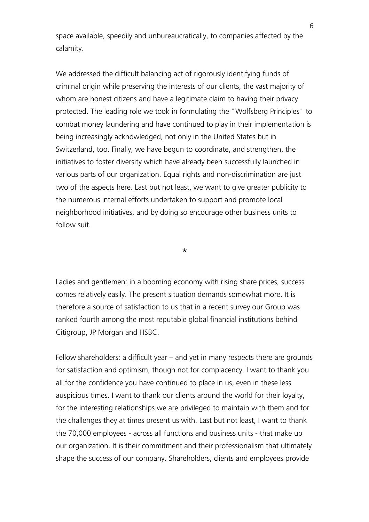space available, speedily and unbureaucratically, to companies affected by the calamity.

We addressed the difficult balancing act of rigorously identifying funds of criminal origin while preserving the interests of our clients, the vast majority of whom are honest citizens and have a legitimate claim to having their privacy protected. The leading role we took in formulating the "Wolfsberg Principles" to combat money laundering and have continued to play in their implementation is being increasingly acknowledged, not only in the United States but in Switzerland, too. Finally, we have begun to coordinate, and strengthen, the initiatives to foster diversity which have already been successfully launched in various parts of our organization. Equal rights and non-discrimination are just two of the aspects here. Last but not least, we want to give greater publicity to the numerous internal efforts undertaken to support and promote local neighborhood initiatives, and by doing so encourage other business units to follow suit.

\*

Ladies and gentlemen: in a booming economy with rising share prices, success comes relatively easily. The present situation demands somewhat more. It is therefore a source of satisfaction to us that in a recent survey our Group was ranked fourth among the most reputable global financial institutions behind Citigroup, JP Morgan and HSBC.

Fellow shareholders: a difficult year  $-$  and yet in many respects there are grounds for satisfaction and optimism, though not for complacency. I want to thank you all for the confidence you have continued to place in us, even in these less auspicious times. I want to thank our clients around the world for their loyalty, for the interesting relationships we are privileged to maintain with them and for the challenges they at times present us with. Last but not least, I want to thank the 70,000 employees - across all functions and business units - that make up our organization. It is their commitment and their professionalism that ultimately shape the success of our company. Shareholders, clients and employees provide